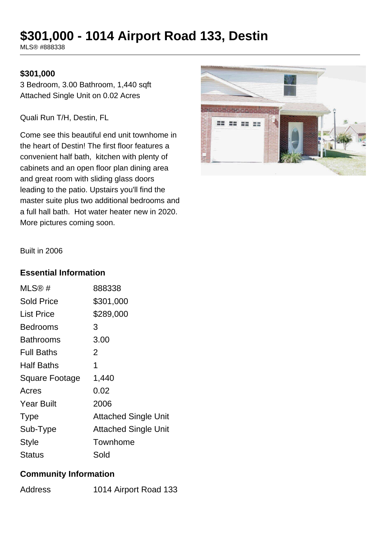# **\$301,000 - 1014 Airport Road 133, Destin**

MLS® #888338

## **\$301,000**

3 Bedroom, 3.00 Bathroom, 1,440 sqft Attached Single Unit on 0.02 Acres

Quali Run T/H, Destin, FL

Come see this beautiful end unit townhome in the heart of Destin! The first floor features a convenient half bath, kitchen with plenty of cabinets and an open floor plan dining area and great room with sliding glass doors leading to the patio. Upstairs you'll find the master suite plus two additional bedrooms and a full hall bath. Hot water heater new in 2020. More pictures coming soon.



Built in 2006

#### **Essential Information**

| $MLS@$ #          | 888338                      |
|-------------------|-----------------------------|
| <b>Sold Price</b> | \$301,000                   |
| List Price        | \$289,000                   |
| <b>Bedrooms</b>   | 3                           |
| <b>Bathrooms</b>  | 3.00                        |
| <b>Full Baths</b> | 2                           |
| <b>Half Baths</b> | 1                           |
| Square Footage    | 1,440                       |
| Acres             | 0.02                        |
| <b>Year Built</b> | 2006                        |
| <b>Type</b>       | <b>Attached Single Unit</b> |
| Sub-Type          | <b>Attached Single Unit</b> |
| <b>Style</b>      | Townhome                    |
| Status            | Sold                        |

#### **Community Information**

| 1014 Airport Road 133 |
|-----------------------|
|                       |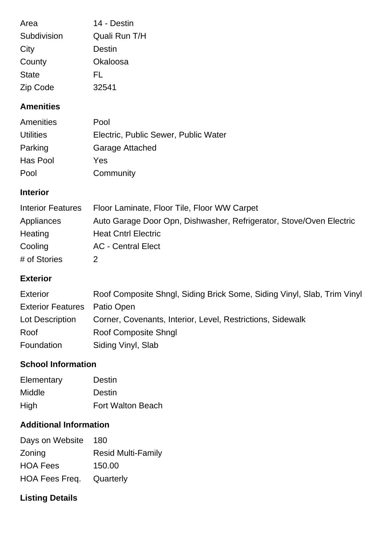| Area         | 14 - Destin   |
|--------------|---------------|
| Subdivision  | Quali Run T/H |
| City         | Destin        |
| County       | Okaloosa      |
| <b>State</b> | FL            |
| Zip Code     | 32541         |

#### **Amenities**

| Amenities        | Pool                                 |
|------------------|--------------------------------------|
| <b>Utilities</b> | Electric, Public Sewer, Public Water |
| Parking          | Garage Attached                      |
| Has Pool         | Yes                                  |
| Pool             | Community                            |

## **Interior**

| <b>Interior Features</b> | Floor Laminate, Floor Tile, Floor WW Carpet                         |
|--------------------------|---------------------------------------------------------------------|
| Appliances               | Auto Garage Door Opn, Dishwasher, Refrigerator, Stove/Oven Electric |
| Heating                  | <b>Heat Cntrl Electric</b>                                          |
| Cooling                  | <b>AC</b> - Central Elect                                           |
| # of Stories             |                                                                     |

## **Exterior**

| <b>Exterior</b>                     | Roof Composite Shngl, Siding Brick Some, Siding Vinyl, Slab, Trim Vinyl |
|-------------------------------------|-------------------------------------------------------------------------|
| <b>Exterior Features</b> Patio Open |                                                                         |
| Lot Description                     | Corner, Covenants, Interior, Level, Restrictions, Sidewalk              |
| Roof                                | <b>Roof Composite Shngl</b>                                             |
| Foundation                          | Siding Vinyl, Slab                                                      |

#### **School Information**

| Elementary | Destin                   |
|------------|--------------------------|
| Middle     | Destin                   |
| High       | <b>Fort Walton Beach</b> |

# **Additional Information**

| Days on Website                 | 180                       |
|---------------------------------|---------------------------|
| Zoning                          | <b>Resid Multi-Family</b> |
| <b>HOA Fees</b>                 | 150.00                    |
| <b>HOA Fees Freq. Quarterly</b> |                           |

# **Listing Details**